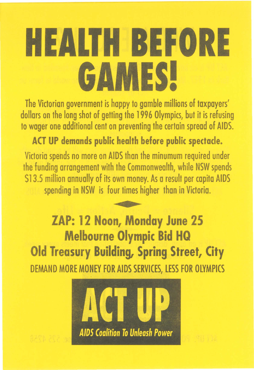## **HEALTH BEFORE GAMES!**

The Victorian government is happy to gamble millions of taxpayers' dollars on the long shot of getting the 1996 Olympics, but it is refusing to wager one additional cent on preventing the certain spread of AIDS.

ACT UP demands public health before public spectacle. Victoria spends no more on AIDS than the minumum required under the funding arrangement with the Commonwealth, while NSW spends \$13.5 million annually of its own money. As a result per capita AIDS spending in NSW is four times higher than in Victoria.

—<br>•<br>•• ZAP: 12 Noon, Monday June 25 Melbourne Olympic Bid HQ Old Treasury Building, Spring Street, City DEMAND MORE MONEY FOR AIDS SERVICES, LESS FOR OLYMPICS